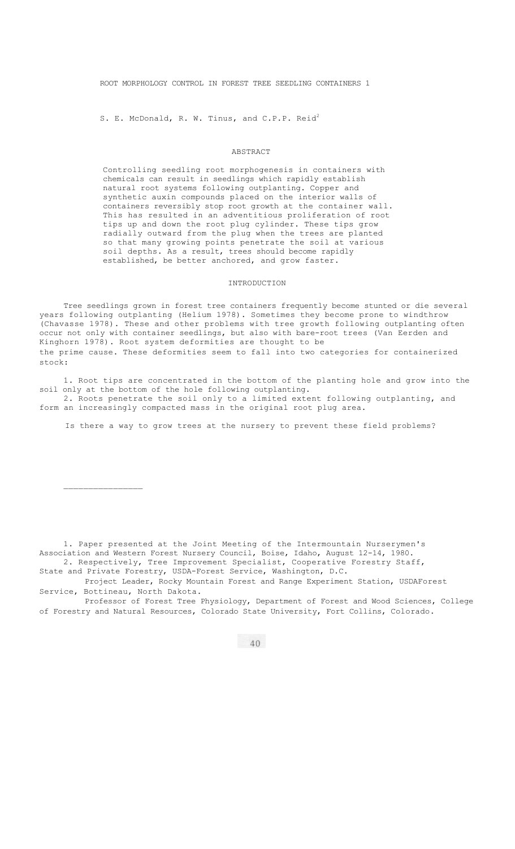ROOT MORPHOLOGY CONTROL IN FOREST TREE SEEDLING CONTAINERS 1

S. E. McDonald, R. W. Tinus, and C.P.P. Reid<sup>2</sup>

### ABSTRACT

Controlling seedling root morphogenesis in containers with chemicals can result in seedlings which rapidly establish natural root systems following outplanting. Copper and synthetic auxin compounds placed on the interior walls of containers reversibly stop root growth at the container wall. This has resulted in an adventitious proliferation of root tips up and down the root plug cylinder. These tips grow radially outward from the plug when the trees are planted so that many growing points penetrate the soil at various soil depths. As a result, trees should become rapidly established, be better anchored, and grow faster.

#### INTRODUCTION

Tree seedlings grown in forest tree containers frequently become stunted or die several years following outplanting (Helium 1978). Sometimes they become prone to windthrow (Chavasse 1978). These and other problems with tree growth following outplanting often occur not only with container seedlings, but also with bare-root trees (Van Eerden and Kinghorn 1978). Root system deformities are thought to be the prime cause. These deformities seem to fall into two categories for containerized stock:

1. Root tips are concentrated in the bottom of the planting hole and grow into the soil only at the bottom of the hole following outplanting.

2. Roots penetrate the soil only to a limited extent following outplanting, and form an increasingly compacted mass in the original root plug area.

Is there a way to grow trees at the nursery to prevent these field problems?

1. Paper presented at the Joint Meeting of the Intermountain Nurserymen's Association and Western Forest Nursery Council, Boise, Idaho, August 12-14, 1980. 2. Respectively, Tree Improvement Specialist, Cooperative Forestry Staff,

State and Private Forestry, USDA-Forest Service, Washington, D.C.

 $\mathcal{L}$  , we have the set of the set of the set of the set of the set of the set of the set of the set of the set of the set of the set of the set of the set of the set of the set of the set of the set of the set of the

Project Leader, Rocky Mountain Forest and Range Experiment Station, USDAForest Service, Bottineau, North Dakota.

Professor of Forest Tree Physiology, Department of Forest and Wood Sciences, College of Forestry and Natural Resources, Colorado State University, Fort Collins, Colorado.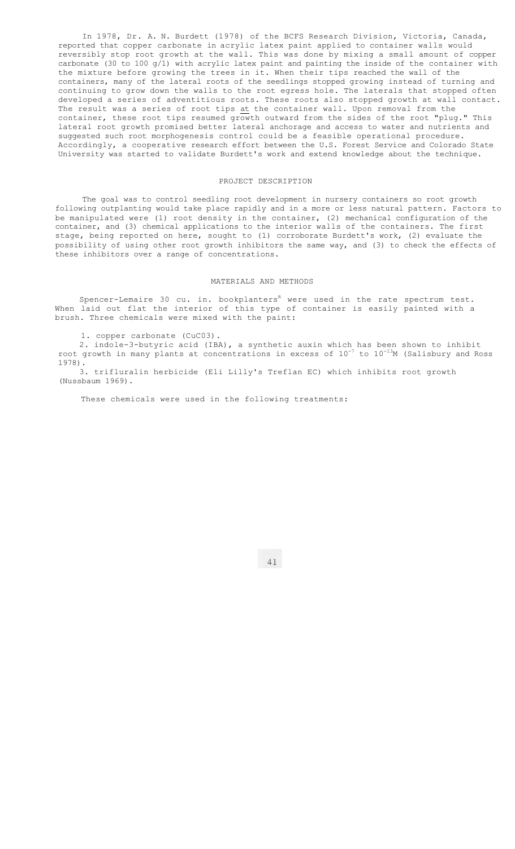In 1978, Dr. A. N. Burdett (1978) of the BCFS Research Division, Victoria, Canada, reported that copper carbonate in acrylic latex paint applied to container walls would reversibly stop root growth at the wall. This was done by mixing a small amount of copper carbonate (30 to 100  $g/1$ ) with acrylic latex paint and painting the inside of the container with the mixture before growing the trees in it. When their tips reached the wall of the containers, many of the lateral roots of the seedlings stopped growing instead of turning and continuing to grow down the walls to the root egress hole. The laterals that stopped often developed a series of adventitious roots. These roots also stopped growth at wall contact. The result was a series of root tips at the container wall. Upon removal from the container, these root tips resumed growth outward from the sides of the root "plug." This lateral root growth promised better lateral anchorage and access to water and nutrients and suggested such root morphogenesis control could be a feasible operational procedure. Accordingly, a cooperative research effort between the U.S. Forest Service and Colorado State University was started to validate Burdett's work and extend knowledge about the technique.

### PROJECT DESCRIPTION

The goal was to control seedling root development in nursery containers so root growth following outplanting would take place rapidly and in a more or less natural pattern. Factors to be manipulated were (1) root density in the container, (2) mechanical configuration of the container, and (3) chemical applications to the interior walls of the containers. The first stage, being reported on here, sought to (1) corroborate Burdett's work, (2) evaluate the possibility of using other root growth inhibitors the same way, and (3) to check the effects of these inhibitors over a range of concentrations.

# MATERIALS AND METHODS

Spencer-Lemaire 30 cu. in. bookplanters<sup>R</sup> were used in the rate spectrum test. When laid out flat the interior of this type of container is easily painted with a brush. Three chemicals were mixed with the paint:

1. copper carbonate (CuC03).

2. indole-3-butyric acid (IBA), a synthetic auxin which has been shown to inhibit root growth in many plants at concentrations in excess of  $10^{-7}$  to  $10^{-13}M$  (Salisbury and Ross 1978). 3. trifluralin herbicide (Eli Lilly's Treflan EC) which inhibits root growth

(Nussbaum 1969).

These chemicals were used in the following treatments: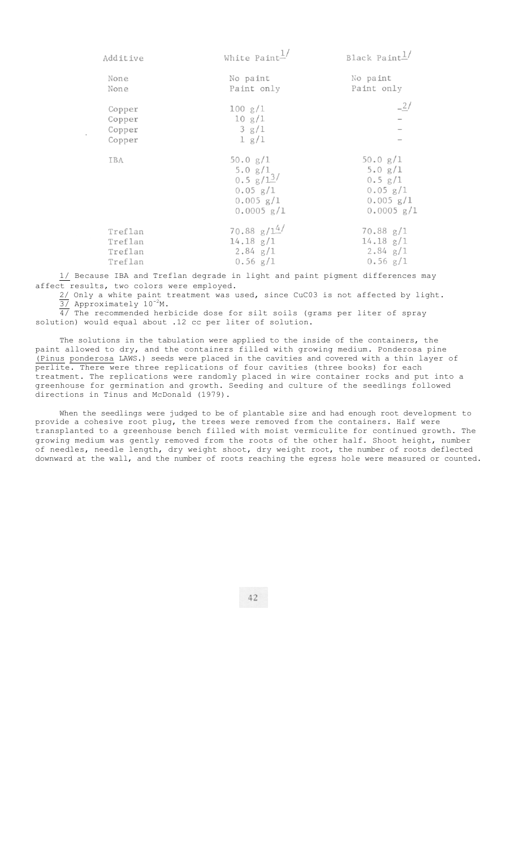| Additive                                 | White Paint                                                                                    | Black Paint $\perp$                                                                   |
|------------------------------------------|------------------------------------------------------------------------------------------------|---------------------------------------------------------------------------------------|
| None<br>None                             | No paint<br>Paint only                                                                         | No paint<br>Paint only                                                                |
| Copper<br>Copper<br>Copper<br>Copper     | 100 g/1<br>10 g/1<br>3 g/1<br>1 g/1                                                            |                                                                                       |
| IBA                                      | 50.0 $g/1$<br>5.0 g/1<br>$0.5 \frac{g}{13}$<br>$0.05$ $g/1$<br>$0.005$ $g/1$<br>$0.0005$ $g/I$ | 50.0 g/1<br>5.0 g/1<br>$0.5$ $g/1$<br>$0.05$ $g/1$<br>$0.005$ $g/1$<br>$0.0005$ $g/1$ |
| Treflan<br>Treflan<br>Treflan<br>Treflan | 70.88 $g/14$<br>$14.18$ $g/1$<br>$2.84$ g/1<br>$0.56$ g/1                                      | 70.88 g/1<br>$14.18$ $g/1$<br>$2.84$ g/1<br>$0.56$ g/1                                |

1/ Because IBA and Treflan degrade in light and paint pigment differences may affect results, two colors were employed.

2/ Only a white paint treatment was used, since CuC03 is not affected by light.  $\overline{37}$  Approximately 10<sup>-2</sup>M.

 $\overline{4/}$  The recommended herbicide dose for silt soils (grams per liter of spray solution) would equal about .12 cc per liter of solution.

The solutions in the tabulation were applied to the inside of the containers, the paint allowed to dry, and the containers filled with growing medium. Ponderosa pine (Pinus ponderosa LAWS.) seeds were placed in the cavities and covered with a thin layer of perlite. There were three replications of four cavities (three books) for each treatment. The replications were randomly placed in wire container rocks and put into a greenhouse for germination and growth. Seeding and culture of the seedlings followed directions in Tinus and McDonald (1979).

When the seedlings were judged to be of plantable size and had enough root development to provide a cohesive root plug, the trees were removed from the containers. Half were transplanted to a greenhouse bench filled with moist vermiculite for continued growth. The growing medium was gently removed from the roots of the other half. Shoot height, number of needles, needle length, dry weight shoot, dry weight root, the number of roots deflected downward at the wall, and the number of roots reaching the egress hole were measured or counted.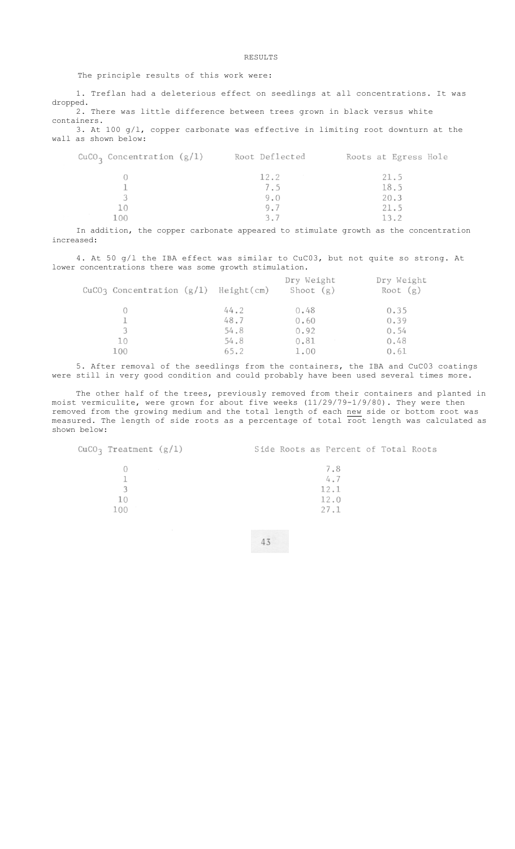## RESULTS

### The principle results of this work were:

1. Treflan had a deleterious effect on seedlings at all concentrations. It was dropped. 2. There was little difference between trees grown in black versus white containers.

3. At 100 g/l, copper carbonate was effective in limiting root downturn at the wall as shown below:

| $CuCO3$ Concentration (g/1) | Root Deflected | Roots at Egress Hole |
|-----------------------------|----------------|----------------------|
|                             | 12.2           | 21.5                 |
|                             | 7.5            | 18.5                 |
|                             | 9.0            | 20.3                 |
|                             | 9.7            | 21.5                 |
| LOO                         | 3.7            |                      |

In addition, the copper carbonate appeared to stimulate growth as the concentration increased:

4. At 50 g/l the IBA effect was similar to CuC03, but not quite so strong. At lower concentrations there was some growth stimulation.

| CuCO3 Concentration $(g/l)$ Height(cm) |      | Dry Weight<br>Shoot (g) | Dry Weight<br>Root $(g)$ |
|----------------------------------------|------|-------------------------|--------------------------|
|                                        | 44.2 | 0.48                    | 0.35                     |
|                                        | 48.7 | 0.60                    | 0.39                     |
|                                        | 54.8 | 0.92                    | 0.54                     |
| 10                                     | 54.8 | 0.81                    | 0.48                     |
| 100                                    | 65.2 | 1.00                    | 0.61                     |

5. After removal of the seedlings from the containers, the IBA and CuC03 coatings were still in very good condition and could probably have been used several times more.

The other half of the trees, previously removed from their containers and planted in moist vermiculite, were grown for about five weeks (11/29/79-1/9/80). They were then removed from the growing medium and the total length of each new side or bottom root was measured. The length of side roots as a percentage of total root length was calculated as shown below:

| CuCO <sub>3</sub> Treatment $(g/1)$ | Side Roots as Percent of Total Roots |
|-------------------------------------|--------------------------------------|
| control of the con-                 | 7.8<br>4.7                           |
| $\pm 0$                             | 12.1<br>12.0                         |
| 100                                 | 27.1                                 |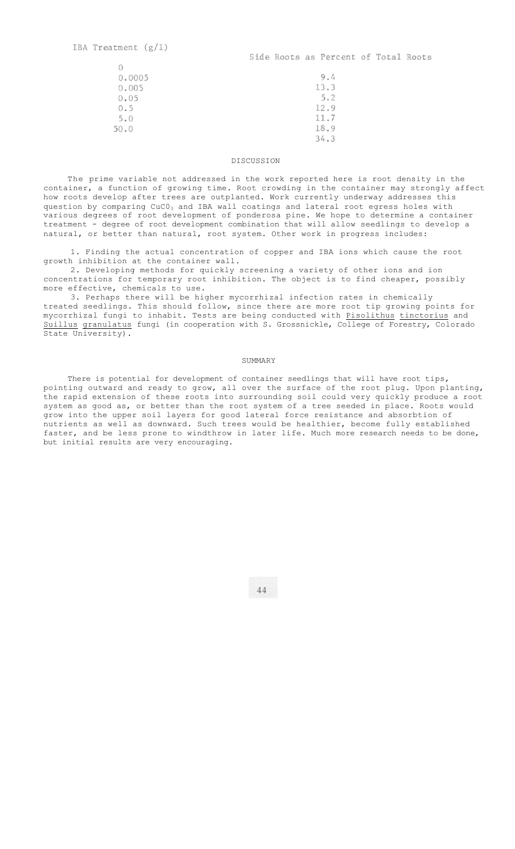$\bigcap$ 

| 9.4  |
|------|
| 13.3 |
| 5.2  |
| 12.9 |
| 11.7 |
| 18.9 |
| 34.3 |
|      |

### DISCUSSION

The prime variable not addressed in the work reported here is root density in the container, a function of growing time. Root crowding in the container may strongly affect how roots develop after trees are outplanted. Work currently underway addresses this question by comparing  $CuCO<sub>3</sub>$  and IBA wall coatings and lateral root egress holes with various degrees of root development of ponderosa pine. We hope to determine a container treatment - degree of root development combination that will allow seedlings to develop a natural, or better than natural, root system. Other work in progress includes:

1. Finding the actual concentration of copper and IBA ions which cause the root growth inhibition at the container wall.

2. Developing methods for quickly screening a variety of other ions and ion concentrations for temporary root inhibition. The object is to find cheaper, possibly more effective, chemicals to use.

3. Perhaps there will be higher mycorrhizal infection rates in chemically treated seedlings. This should follow, since there are more root tip growing points for mycorrhizal fungi to inhabit. Tests are being conducted with Pisolithus tinctorius and Suillus granulatus fungi (in cooperation with S. Grossnickle, College of Forestry, Colorado State University).

### SUMMARY

There is potential for development of container seedlings that will have root tips, pointing outward and ready to grow, all over the surface of the root plug. Upon planting, the rapid extension of these roots into surrounding soil could very quickly produce a root system as good as, or better than the root system of a tree seeded in place. Roots would grow into the upper soil layers for good lateral force resistance and absorbtion of nutrients as well as downward. Such trees would be healthier, become fully established faster, and be less prone to windthrow in later life. Much more research needs to be done, but initial results are very encouraging.